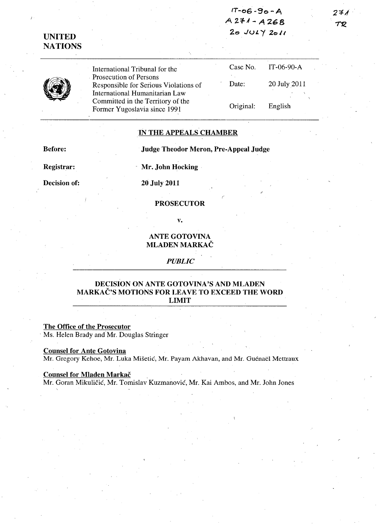**IT-06 "'90-A A2=1-J-A268 20 J(.)L ,/20"** 

クチィ TR

# **UNITED NATIONS**

International Tribunal for the Prosecution of Persons Responsible for Serious Violations of International Humanitarian Law Committed in the Territory of the Former Yugoslavia since 1991

| Case No.  | $IT-06-90-A$ |
|-----------|--------------|
| Date:     | 20 July 2011 |
| Original: | English      |

## **IN THE APPEALS CHAMBER**

**Before:** 

**Judge Theodor Meron, Pre-Appeal Judge** 

**Registrar:** 

**Mr.** John Hocking **.** 

**Decision of:** 

**20 July 2011** 

**PROSECUTOR** 

v.

# **ANTE GOTOVINA MLADEN MARKAC**

*PUBLIC* 

## **DECISION ON ANTE GOTOVINA'S AND MLADEN MARKAC'S MOTIONS FOR LEAVE TO EXCEED THE WORD LIMIT**

# **The Office of the Prosecutor**

Ms. Helen Brady and Mr. Douglas Stringer

#### **Counsel for Ante Gotovina**

Mr. Gregory Kehoe, Mr. Luka Mišetić, Mr. Payam Akhavan, and Mr. Guénaël Mettraux

#### **Counsel for Mladen Markač**

Mr. Goran Mikulicic, Mr. Tomislav Kuzmanovic, Mr. Kai Ambos, and Mr. John Jones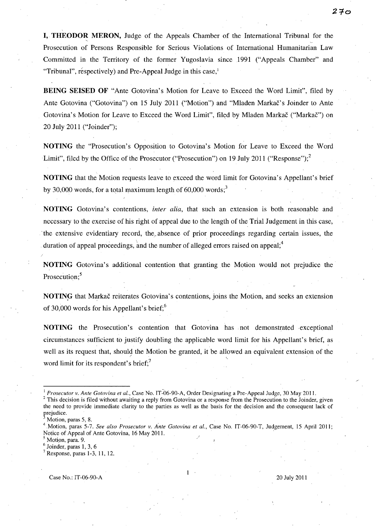**I, THEODOR MERON, Judge of the Appeals Chamber of the International Tribunal for the** Prosecution of Persons Responsible for Serious Violations of International Humanitarian Law Committed in the Territory of the former Yugoslavia since 1991 ("Appeals Chamber" and "Tribunal", respectively) and Pre-Appeal Judge in this case,<sup>1</sup>

**BEING SEISED OF** "Ante Gotovina's Motion for Leave to Exceed the Word Limit", filed by Ante Gotovina ("Gotovina") on 15 July 2011 ("Motion") and "Mladen Markac's Joinder to Ante Gotovina's Motion for Leave to Exceed the Word Limit", filed by Mladen Markač ("Markač") on 20 July 2011 ("Joinder");

**NOTING** the "Prosecution's Opposition to Gotovina's Motion for Leave to Exceed the Word Limit", filed by the Office of the Prosecutor ("Prosecution") on 19 July 2011 ("Response");<sup>2</sup>

**NOTING** that the Motion requests leave to exceed the word limit for Gotovina's Appellant's brief by 30,000 words, for a total maximum length of  $60,000$  words;<sup>3</sup>

**NOTING** Gotovina's contentions, *inter alia,* that such an extension is both reasonable and necessary to the exercise of his right of appeal due to the length of the Trial Judgement in this case, the extensive evidentiary record, the absence of prior proceedings regarding certain issues, the duration of appeal proceedings, and the number of alleged errors raised on appeal; $<sup>4</sup>$ </sup>

**NOTING** Gotovina's additional contention that granting the Motion would not prejudice the Prosecution:<sup>5</sup>

**NOTIN9-** that Markac reiterates Gotovina's contentions, joins the Motion, and seeks an extension of 30,000 words for his Appellant's brief; $6$ 

**NOTING** the Prosecution's contention that Gotovina has not demonstrated exceptional circumstances sufficient to justify doubling the applicable word limit for his Appellant's brief, as well as its request that, should the Motion be granted, it be allowed an equivalent extension of the word limit for its respondent's brief;<sup>7</sup>

This decision is filed without awaiting a reply from Gotovina or a response from the Prosecution to the Joinder, given the need to provide immediate clarity to the parties as well as the basis for the decision and the consequent lack of prejudice.

Case No.: IT-06-90-A 20 July 2011

*Prosecutor v. Ante Gotovina et al., Case No. IT-06-90-A, Order Designating a Pre-Appeal Judge, 30 May 2011.* 

Motion, paras 5, 8.

Motion, paras 5-7. See also Prosecutor v. Ante Gotovina et al., Case No. IT-06-90-T, Judgement, 15 April 2011; Notice of Appeal of Ante Gotovina, 16 May 2011. .

<sup>&</sup>lt;sup>5</sup> Motion, para. 9.

Joinder, paras 1, 3, 6

 $<sup>7</sup>$  Response, paras 1-3, 11, 12.</sup>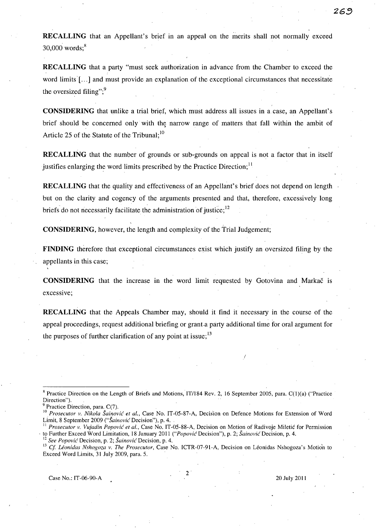**RECALLING** that an Appellant's brief in an appeal on the merits shall not normally exceed  $30,000$  words;<sup>8</sup>

**RECALLING** that a party "must seek authorization in advance from the Chamber to exceed the word limits [...] and must provide an explanation of the exceptional circumstances that necessitate the oversized filing"; $9$ 

**CONSIDERING** that unlike a trial brief, which must address all issues in a case, an Appellant's brief should be concerned only with the narrow range of matters that fall within the ambit of Article 25 of the Statute of the Tribunal;<sup>10</sup>

**RECALLING** that the number of grounds or sub-grounds on appeal is not a factor that in itself justifies enlarging the word limits prescribed by the Practice Direction;<sup>11</sup>

**RECALLING** that the quality and effectiveness of an Appellant's brief does not depend on length but on the clarity and cogency of the arguments presented and that, therefore, excessively long briefs do not necessarily facilitate the administration of justice;  $12$ 

**CONSIDERING**, however, the length and complexity of the Trial Judgement;

**FINDING** therefore that exceptional circumstances exist which justify an oversized filing by the appellants in this case;

**CONSIDERING** that the increase in the word limit requested by Gotovina and Markac is excessive;

**RECALLING** that the Appeals Chamber may, should it find it necessary in the course of the appeal proceedings, request additional briefing or grant-a party additional time for oral argument for the purposes of further clarification of any point at issue;  $13$ 

2

Case No.: IT-06-90-A 20 July 2011

**263** 

 $8$  Practice Direction on the Length of Briefs and Motions, IT/184 Rev. 2, 16 September 2005, para. C(1)(a) ("Practice Direction").

Practice Direction, para. C(7).

<sup>10</sup>*Prosecutor v. Nikola Sainovic et al.,* Case No. IT-05-87-A, Decision on Defence Motions for Extension of Word Limit, 8 September 2009 *("Sainovic* Decision"), p. 4 ..

<sup>&</sup>lt;sup>11</sup> Prosecutor v. Vujadin Popović et al., Case No. IT-05-88-A, Decision on Motion of Radivoje Miletić for Permission to Further Exceed Word Limitation, 18 January 2011 *("Popović* Decision"), p. 2; *Šainović* Decision, p. 4.

<sup>12</sup>*See Popovic* Decision, p. 2; *Sainovic* Decision, p. 4.

<sup>&</sup>lt;sup>13</sup> Cf. Léonidas Nshogoza v. The Prosecutor, Case No. ICTR-07-91-A, Decision on Léonidas Nshogoza's Motion to Exceed Word Limits, 31 July 2009, para. 5.